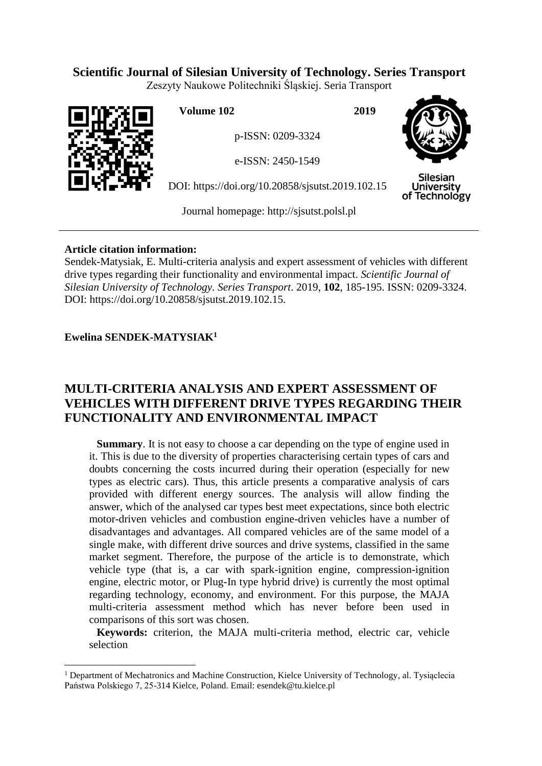# **Scientific Journal of Silesian University of Technology. Series Transport**

Zeszyty Naukowe Politechniki Śląskiej. Seria Transport



**Volume 102 2019**

p-ISSN: 0209-3324

e-ISSN: 2450-1549

DOI: https://doi.org/10.20858/sjsutst.2019.102.15



Silesian University of Technology

Journal homepage: [http://sjsutst.polsl.pl](http://sjsutst.polsl.pl/)

## **Article citation information:**

Sendek-Matysiak, E. Multi-criteria analysis and expert assessment of vehicles with different drive types regarding their functionality and environmental impact. *Scientific Journal of Silesian University of Technology. Series Transport*. 2019, **102**, 185-195. ISSN: 0209-3324. DOI: https://doi.org/10.20858/sjsutst.2019.102.15.

## **Ewelina SENDEK-MATYSIAK<sup>1</sup>**

 $\overline{a}$ 

# **MULTI-CRITERIA ANALYSIS AND EXPERT ASSESSMENT OF VEHICLES WITH DIFFERENT DRIVE TYPES REGARDING THEIR FUNCTIONALITY AND ENVIRONMENTAL IMPACT**

**Summary**. It is not easy to choose a car depending on the type of engine used in it. This is due to the diversity of properties characterising certain types of cars and doubts concerning the costs incurred during their operation (especially for new types as electric cars). Thus, this article presents a comparative analysis of cars provided with different energy sources. The analysis will allow finding the answer, which of the analysed car types best meet expectations, since both electric motor-driven vehicles and combustion engine-driven vehicles have a number of disadvantages and advantages. All compared vehicles are of the same model of a single make, with different drive sources and drive systems, classified in the same market segment. Therefore, the purpose of the article is to demonstrate, which vehicle type (that is, a car with spark-ignition engine, compression-ignition engine, electric motor, or Plug-In type hybrid drive) is currently the most optimal regarding technology, economy, and environment. For this purpose, the MAJA multi-criteria assessment method which has never before been used in comparisons of this sort was chosen.

**Keywords:** criterion, the MAJA multi-criteria method, electric car, vehicle selection

<sup>&</sup>lt;sup>1</sup> Department of Mechatronics and Machine Construction, Kielce University of Technology, al. Tysiąclecia Państwa Polskiego 7, 25-314 Kielce, Poland. Email: esendek@tu.kielce.pl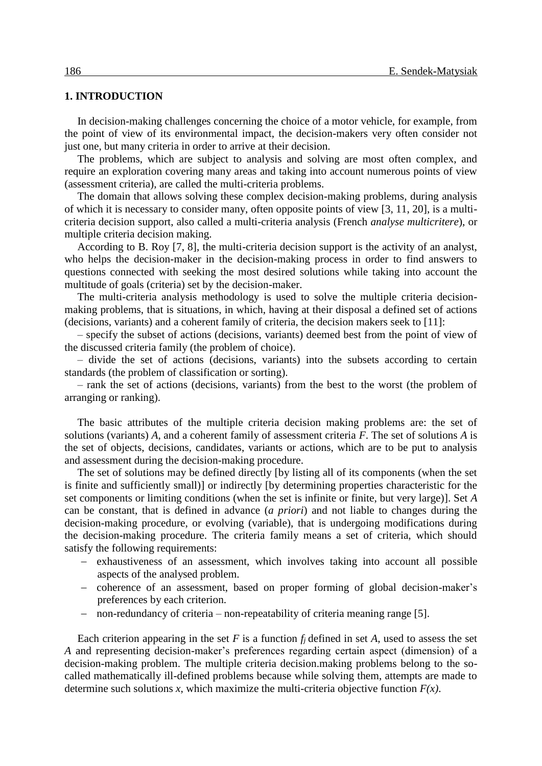#### **1. INTRODUCTION**

In decision-making challenges concerning the choice of a motor vehicle, for example, from the point of view of its environmental impact, the decision-makers very often consider not just one, but many criteria in order to arrive at their decision.

The problems, which are subject to analysis and solving are most often complex, and require an exploration covering many areas and taking into account numerous points of view (assessment criteria), are called the multi-criteria problems.

The domain that allows solving these complex decision-making problems, during analysis of which it is necessary to consider many, often opposite points of view [3, 11, 20], is a multicriteria decision support, also called a multi-criteria analysis (French *analyse multicritere*), or multiple criteria decision making.

According to B. Roy [7, 8], the multi-criteria decision support is the activity of an analyst, who helps the decision-maker in the decision-making process in order to find answers to questions connected with seeking the most desired solutions while taking into account the multitude of goals (criteria) set by the decision-maker.

The multi-criteria analysis methodology is used to solve the multiple criteria decisionmaking problems, that is situations, in which, having at their disposal a defined set of actions (decisions, variants) and a coherent family of criteria, the decision makers seek to [11]:

– specify the subset of actions (decisions, variants) deemed best from the point of view of the discussed criteria family (the problem of choice).

– divide the set of actions (decisions, variants) into the subsets according to certain standards (the problem of classification or sorting).

– rank the set of actions (decisions, variants) from the best to the worst (the problem of arranging or ranking).

The basic attributes of the multiple criteria decision making problems are: the set of solutions (variants) *A*, and a coherent family of assessment criteria *F*. The set of solutions *A* is the set of objects, decisions, candidates, variants or actions, which are to be put to analysis and assessment during the decision-making procedure.

The set of solutions may be defined directly [by listing all of its components (when the set is finite and sufficiently small)] or indirectly [by determining properties characteristic for the set components or limiting conditions (when the set is infinite or finite, but very large)]. Set *A*  can be constant, that is defined in advance (*a priori*) and not liable to changes during the decision-making procedure, or evolving (variable), that is undergoing modifications during the decision-making procedure. The criteria family means a set of criteria, which should satisfy the following requirements:

- exhaustiveness of an assessment, which involves taking into account all possible aspects of the analysed problem.
- coherence of an assessment, based on proper forming of global decision-maker's preferences by each criterion.
- non-redundancy of criteria non-repeatability of criteria meaning range [5].

Each criterion appearing in the set  $F$  is a function  $f_i$  defined in set  $A$ , used to assess the set *A* and representing decision-maker's preferences regarding certain aspect (dimension) of a decision-making problem. The multiple criteria decision.making problems belong to the socalled mathematically ill-defined problems because while solving them, attempts are made to determine such solutions *x*, which maximize the multi-criteria objective function  $F(x)$ .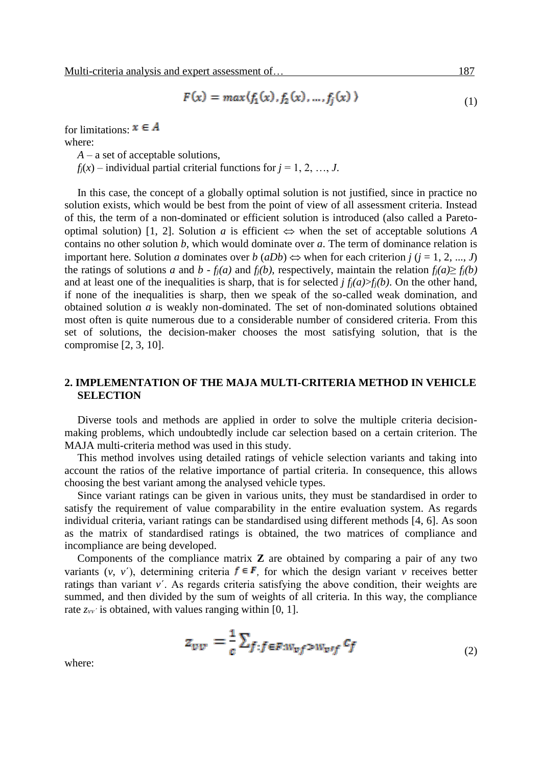$$
F(x) = \max(f_1(x), f_2(x), ..., f_j(x))
$$
 (1)

for limitations:  $x \in A$ where:

*A* – a set of acceptable solutions,

 $f_i(x)$  – individual partial criterial functions for  $j = 1, 2, ..., J$ .

In this case, the concept of a globally optimal solution is not justified, since in practice no solution exists, which would be best from the point of view of all assessment criteria. Instead of this, the term of a non-dominated or efficient solution is introduced (also called a Paretooptimal solution) [1, 2]. Solution *a* is efficient  $\Leftrightarrow$  when the set of acceptable solutions *A* contains no other solution *b*, which would dominate over *a*. The term of dominance relation is important here. Solution *a* dominates over *b* (*aDb*)  $\Leftrightarrow$  when for each criterion *j* (*j* = 1, 2, ..., *J*) the ratings of solutions *a* and *b* -  $f_i(a)$  and  $f_i(b)$ , respectively, maintain the relation  $f_i(a) \ge f_i(b)$ and at least one of the inequalities is sharp, that is for selected  $j f_i(a) > f_i(b)$ . On the other hand, if none of the inequalities is sharp, then we speak of the so-called weak domination, and obtained solution *a* is weakly non-dominated. The set of non-dominated solutions obtained most often is quite numerous due to a considerable number of considered criteria. From this set of solutions, the decision-maker chooses the most satisfying solution, that is the compromise [2, 3, 10].

### **2. IMPLEMENTATION OF THE MAJA MULTI-CRITERIA METHOD IN VEHICLE SELECTION**

Diverse tools and methods are applied in order to solve the multiple criteria decisionmaking problems, which undoubtedly include car selection based on a certain criterion. The MAJA multi-criteria method was used in this study.

This method involves using detailed ratings of vehicle selection variants and taking into account the ratios of the relative importance of partial criteria. In consequence, this allows choosing the best variant among the analysed vehicle types.

Since variant ratings can be given in various units, they must be standardised in order to satisfy the requirement of value comparability in the entire evaluation system. As regards individual criteria, variant ratings can be standardised using different methods [4, 6]. As soon as the matrix of standardised ratings is obtained, the two matrices of compliance and incompliance are being developed.

Components of the compliance matrix **Z** are obtained by comparing a pair of any two variants  $(v, v')$ , determining criteria  $f \in F$ , for which the design variant *v* receives better ratings than variant *v*´. As regards criteria satisfying the above condition, their weights are summed, and then divided by the sum of weights of all criteria. In this way, the compliance rate  $z_{w}$ <sup>*i*</sup> is obtained, with values ranging within [0, 1].

$$
z_{vv} = \frac{1}{c} \sum_{f:f \in F:w_{vf} > w_{vif}} c_f \tag{2}
$$

where: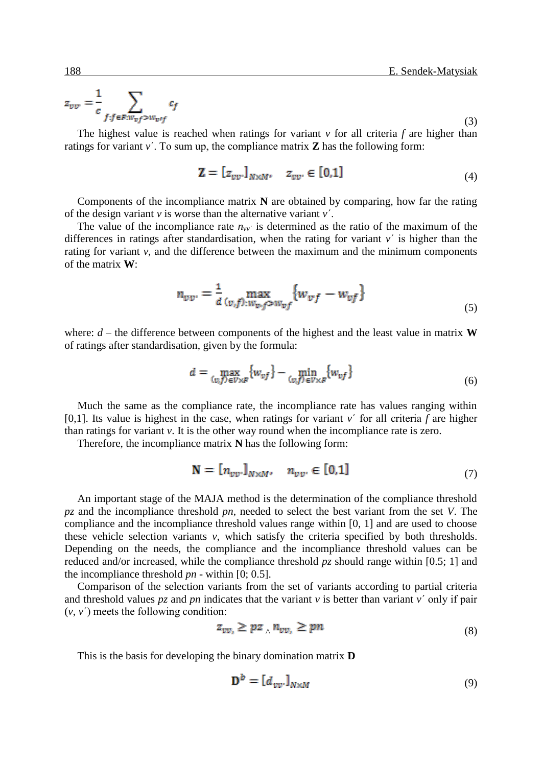(3)

$$
z_{vv} = \frac{1}{c} \sum_{f:f \in F: w_{vf} > w_{vif}} c_f
$$

The highest value is reached when ratings for variant  $\nu$  for all criteria  $f$  are higher than ratings for variant *v*´. To sum up, the compliance matrix **Z** has the following form:

$$
\mathbf{Z} = [z_{vv} \cdot]_{N \times M}, \quad z_{vv} \in [0,1]
$$
 (4)

Components of the incompliance matrix **N** are obtained by comparing, how far the rating of the design variant *v* is worse than the alternative variant *v*´.

The value of the incompliance rate  $n_{vv}$  is determined as the ratio of the maximum of the differences in ratings after standardisation, when the rating for variant  $v'$  is higher than the rating for variant *v*, and the difference between the maximum and the minimum components of the matrix **W**:

$$
n_{vv'} = \frac{1}{d} \max_{(v,f):w_{v,f} \ge w_{vf}} \{w_{vf} - w_{vf}\}
$$
(5)

where:  $d$  – the difference between components of the highest and the least value in matrix **W** of ratings after standardisation, given by the formula:

$$
d = \max_{(v,f)\in V\times F} \{w_{vf}\} - \min_{(v,f)\in V\times F} \{w_{vf}\}
$$
\n
$$
(6)
$$

Much the same as the compliance rate, the incompliance rate has values ranging within [0,1]. Its value is highest in the case, when ratings for variant  $v'$  for all criteria  $f$  are higher than ratings for variant *v*. It is the other way round when the incompliance rate is zero.

Therefore, the incompliance matrix **N** has the following form:

$$
\mathbf{N} = [n_{vv},]_{N \times M}, \quad n_{vv} \in [0,1]
$$
 (7)

An important stage of the MAJA method is the determination of the compliance threshold *pz* and the incompliance threshold *pn*, needed to select the best variant from the set *V*. The compliance and the incompliance threshold values range within [0, 1] and are used to choose these vehicle selection variants *v*, which satisfy the criteria specified by both thresholds. Depending on the needs, the compliance and the incompliance threshold values can be reduced and/or increased, while the compliance threshold *pz* should range within [0.5; 1] and the incompliance threshold *pn* - within [0; 0.5].

Comparison of the selection variants from the set of variants according to partial criteria and threshold values  $pz$  and  $pn$  indicates that the variant  $v$  is better than variant  $v'$  only if pair  $(v, v')$  meets the following condition:

$$
z_{vv_i} \geq pz \wedge n_{vv_i} \geq pn \tag{8}
$$

This is the basis for developing the binary domination matrix **D**

$$
\mathbf{D}^b = [d_{vv} \cdot l_{N \times M} \tag{9}
$$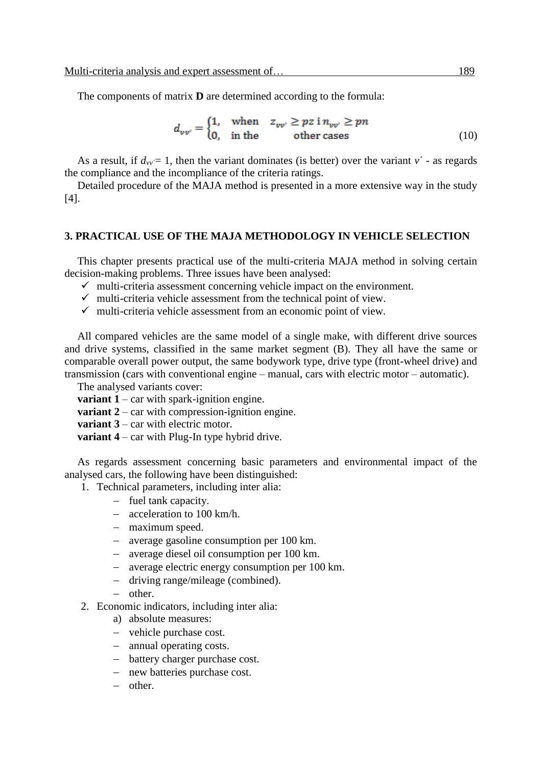The components of matrix **D** are determined according to the formula:

$$
d_{vv'} = \begin{cases} 1, & \text{when} \quad z_{vv'} \ge pz \text{ i } n_{vv'} \ge pn \\ 0, & \text{in the} \quad \text{other cases} \end{cases} \tag{10}
$$

As a result, if  $d_{vv} = 1$ , then the variant dominates (is better) over the variant  $v'$  - as regards the compliance and the incompliance of the criteria ratings.

Detailed procedure of the MAJA method is presented in a more extensive way in the study [4].

#### **3. PRACTICAL USE OF THE MAJA METHODOLOGY IN VEHICLE SELECTION**

This chapter presents practical use of the multi-criteria MAJA method in solving certain decision-making problems. Three issues have been analysed:

- $\checkmark$  multi-criteria assessment concerning vehicle impact on the environment.
- $\checkmark$  multi-criteria vehicle assessment from the technical point of view.
- $\checkmark$  multi-criteria vehicle assessment from an economic point of view.

All compared vehicles are the same model of a single make, with different drive sources and drive systems, classified in the same market segment (B). They all have the same or comparable overall power output, the same bodywork type, drive type (front-wheel drive) and transmission (cars with conventional engine – manual, cars with electric motor – automatic).

The analysed variants cover:

**variant 1** – car with spark-ignition engine.

**variant 2** – car with compression-ignition engine.

**variant 3** – car with electric motor.

**variant 4** – car with Plug-In type hybrid drive.

As regards assessment concerning basic parameters and environmental impact of the analysed cars, the following have been distinguished:

1. Technical parameters, including inter alia:

- $-$  fuel tank capacity.
- acceleration to 100 km/h.
- maximum speed.
- average gasoline consumption per 100 km.
- average diesel oil consumption per 100 km.
- average electric energy consumption per 100 km.
- driving range/mileage (combined).
- $-$  other.
- 2. Economic indicators, including inter alia:
	- a) absolute measures:
	- vehicle purchase cost.
	- annual operating costs.
	- battery charger purchase cost.
	- new batteries purchase cost.
	- $-$  other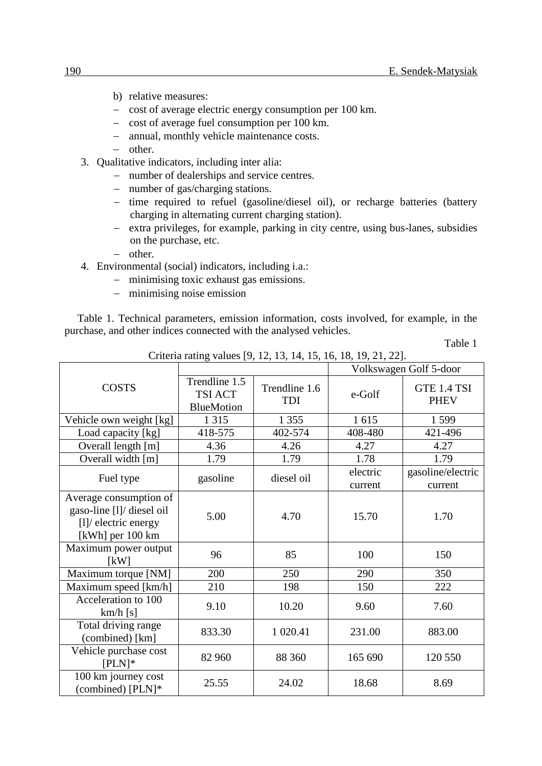- b) relative measures:
- cost of average electric energy consumption per 100 km.
- $\sim$  cost of average fuel consumption per 100 km.
- annual, monthly vehicle maintenance costs.
- $-$  other
- 3. Qualitative indicators, including inter alia:
	- number of dealerships and service centres.
	- number of gas/charging stations.
	- time required to refuel (gasoline/diesel oil), or recharge batteries (battery charging in alternating current charging station).
	- extra privileges, for example, parking in city centre, using bus-lanes, subsidies on the purchase, etc.
	- $-$  other.
- 4. Environmental (social) indicators, including i.a.:
	- minimising toxic exhaust gas emissions.
	- minimising noise emission

Table 1. Technical parameters, emission information, costs involved, for example, in the purchase, and other indices connected with the analysed vehicles.

Table 1

| Criteria rating values [7, 12, 19, 17, 19, 10, 10, 17, 21, 22].                                  |                                                      |                             |                        |                              |  |  |  |  |
|--------------------------------------------------------------------------------------------------|------------------------------------------------------|-----------------------------|------------------------|------------------------------|--|--|--|--|
|                                                                                                  |                                                      |                             | Volkswagen Golf 5-door |                              |  |  |  |  |
| <b>COSTS</b>                                                                                     | Trendline 1.5<br><b>TSI ACT</b><br><b>BlueMotion</b> | Trendline 1.6<br><b>TDI</b> | e-Golf                 | GTE 1.4 TSI<br><b>PHEV</b>   |  |  |  |  |
| Vehicle own weight [kg]                                                                          | 1 3 1 5                                              | 1 3 5 5                     | 1615                   | 1599                         |  |  |  |  |
| Load capacity [kg]                                                                               | 418-575                                              | 402-574                     | 408-480                | 421-496                      |  |  |  |  |
| Overall length [m]                                                                               | 4.36                                                 | 4.26                        | 4.27                   | 4.27                         |  |  |  |  |
| Overall width [m]                                                                                | 1.79                                                 | 1.79                        | 1.78                   | 1.79                         |  |  |  |  |
| Fuel type                                                                                        | gasoline                                             | diesel oil                  | electric<br>current    | gasoline/electric<br>current |  |  |  |  |
| Average consumption of<br>gaso-line [l]/ diesel oil<br>$[1]$ electric energy<br>[kWh] per 100 km | 5.00                                                 | 4.70                        | 15.70                  | 1.70                         |  |  |  |  |
| Maximum power output<br>[kW]                                                                     | 96                                                   | 85                          | 100                    | 150                          |  |  |  |  |
| Maximum torque [NM]                                                                              | 200                                                  | 250                         | 290                    | 350                          |  |  |  |  |
| Maximum speed [km/h]                                                                             | 210                                                  | 198                         | 150                    | 222                          |  |  |  |  |
| Acceleration to 100<br>km/h[s]                                                                   | 9.10                                                 | 10.20                       | 9.60                   | 7.60                         |  |  |  |  |
| Total driving range<br>(combined) [km]                                                           | 833.30                                               | 1 020.41                    | 231.00                 | 883.00                       |  |  |  |  |
| Vehicle purchase cost<br>$[PLN]*$                                                                | 82 960                                               | 88 360                      | 165 690                | 120 550                      |  |  |  |  |
| 100 km journey cost<br>(combined) [PLN]*                                                         | 25.55                                                | 24.02                       | 18.68                  | 8.69                         |  |  |  |  |

Criteria rating values [9, 12, 13, 14, 15, 16, 18, 19, 21, 22].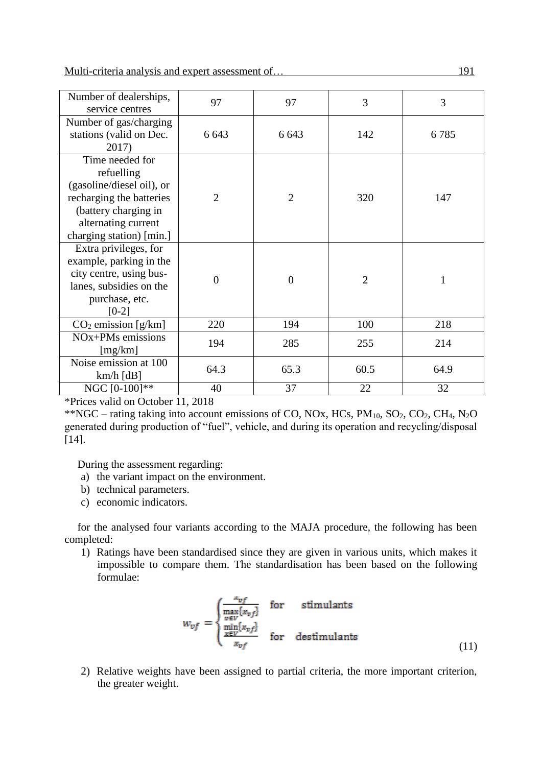| Number of dealerships,<br>service centres                                                                                                                         | 97             | 97             | 3              | 3            |
|-------------------------------------------------------------------------------------------------------------------------------------------------------------------|----------------|----------------|----------------|--------------|
| Number of gas/charging<br>stations (valid on Dec.<br>2017)                                                                                                        | 6 6 43         | 6 6 43         | 142            | 6785         |
| Time needed for<br>refuelling<br>(gasoline/diesel oil), or<br>recharging the batteries<br>(battery charging in<br>alternating current<br>charging station) [min.] | $\overline{2}$ | $\overline{2}$ | 320            | 147          |
| Extra privileges, for<br>example, parking in the<br>city centre, using bus-<br>lanes, subsidies on the<br>purchase, etc.<br>$[0-2]$                               | $\overline{0}$ | $\overline{0}$ | $\overline{2}$ | $\mathbf{1}$ |
| $CO2$ emission [g/km]                                                                                                                                             | 220            | 194            | 100            | 218          |
| NOx+PMs emissions<br>[mg/km]                                                                                                                                      | 194            | 285            | 255            | 214          |
| Noise emission at 100<br>$km/h$ [dB]                                                                                                                              | 64.3           | 65.3           | 60.5           | 64.9         |
| NGC [0-100]**                                                                                                                                                     | 40             | 37             | 22             | 32           |

\*Prices valid on October 11, 2018

\*\*NGC – rating taking into account emissions of CO, NOx, HCs,  $PM_{10}$ , SO<sub>2</sub>, CO<sub>2</sub>, CH<sub>4</sub>, N<sub>2</sub>O generated during production of "fuel", vehicle, and during its operation and recycling/disposal [14].

During the assessment regarding:

- a) the variant impact on the environment.
- b) technical parameters.
- c) economic indicators.

for the analysed four variants according to the MAJA procedure, the following has been completed:

1) Ratings have been standardised since they are given in various units, which makes it impossible to compare them. The standardisation has been based on the following formulae:

$$
w_{vf} = \begin{cases} \frac{x_{vf}}{\max\limits_{v \in V} \{x_{vf}\}} & \text{for} \qquad \text{stimulants} \\ \frac{\min\limits_{x \in V} \{x_{vf}\}}{\max\limits_{x_{vf}} \{x_{vf}\}} & \text{for} \quad \text{destimulants} \end{cases}
$$
(11)

2) Relative weights have been assigned to partial criteria, the more important criterion, the greater weight.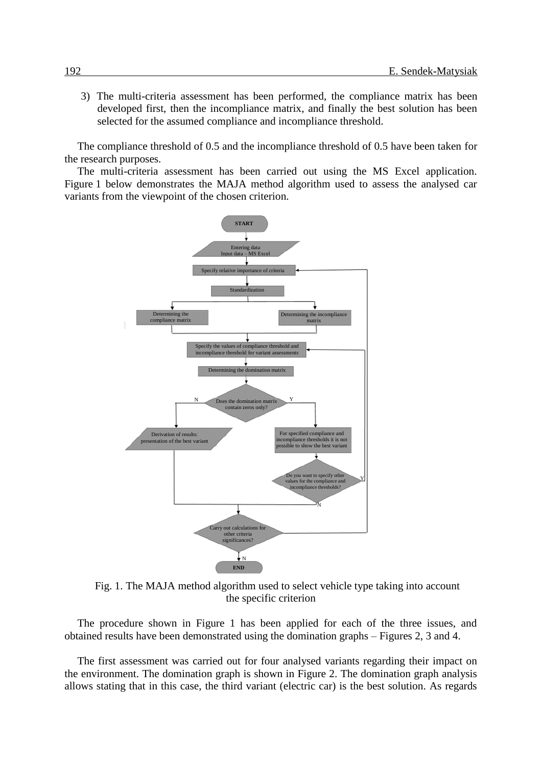3) The multi-criteria assessment has been performed, the compliance matrix has been developed first, then the incompliance matrix, and finally the best solution has been selected for the assumed compliance and incompliance threshold.

The compliance threshold of 0.5 and the incompliance threshold of 0.5 have been taken for the research purposes.

The multi-criteria assessment has been carried out using the MS Excel application. Figure 1 below demonstrates the MAJA method algorithm used to assess the analysed car variants from the viewpoint of the chosen criterion.



Fig. 1. The MAJA method algorithm used to select vehicle type taking into account the specific criterion

The procedure shown in Figure 1 has been applied for each of the three issues, and obtained results have been demonstrated using the domination graphs – Figures 2, 3 and 4.

The first assessment was carried out for four analysed variants regarding their impact on the environment. The domination graph is shown in Figure 2. The domination graph analysis allows stating that in this case, the third variant (electric car) is the best solution. As regards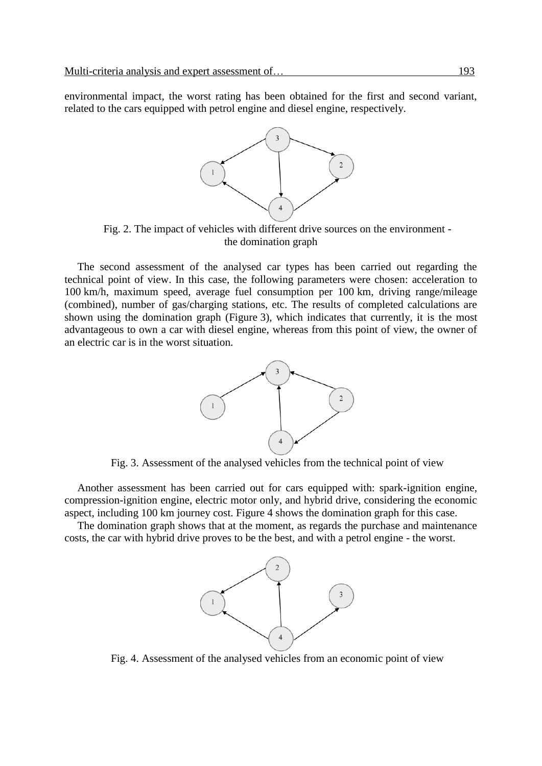environmental impact, the worst rating has been obtained for the first and second variant, related to the cars equipped with petrol engine and diesel engine, respectively.



Fig. 2. The impact of vehicles with different drive sources on the environment the domination graph

The second assessment of the analysed car types has been carried out regarding the technical point of view. In this case, the following parameters were chosen: acceleration to 100 km/h, maximum speed, average fuel consumption per 100 km, driving range/mileage (combined), number of gas/charging stations, etc. The results of completed calculations are shown using the domination graph (Figure 3), which indicates that currently, it is the most advantageous to own a car with diesel engine, whereas from this point of view, the owner of an electric car is in the worst situation.



Fig. 3. Assessment of the analysed vehicles from the technical point of view

Another assessment has been carried out for cars equipped with: spark-ignition engine, compression-ignition engine, electric motor only, and hybrid drive, considering the economic aspect, including 100 km journey cost. Figure 4 shows the domination graph for this case.

The domination graph shows that at the moment, as regards the purchase and maintenance costs, the car with hybrid drive proves to be the best, and with a petrol engine - the worst.



Fig. 4. Assessment of the analysed vehicles from an economic point of view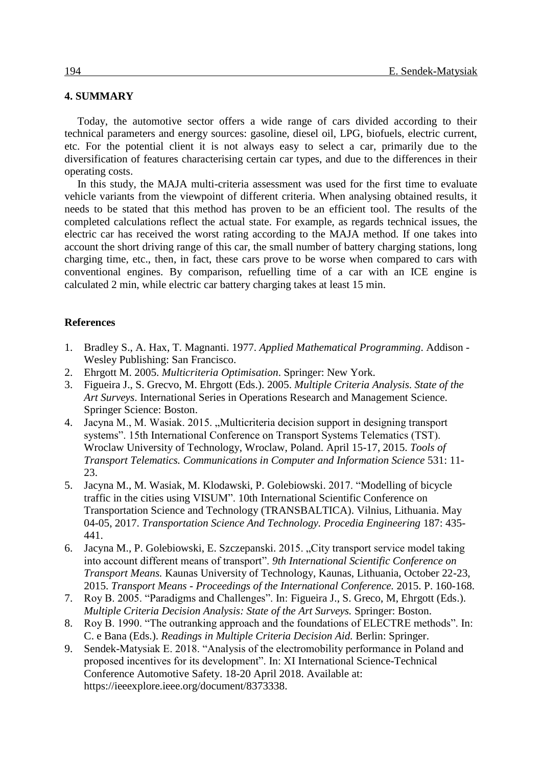### **4. SUMMARY**

Today, the automotive sector offers a wide range of cars divided according to their technical parameters and energy sources: gasoline, diesel oil, LPG, biofuels, electric current, etc. For the potential client it is not always easy to select a car, primarily due to the diversification of features characterising certain car types, and due to the differences in their operating costs.

In this study, the MAJA multi-criteria assessment was used for the first time to evaluate vehicle variants from the viewpoint of different criteria. When analysing obtained results, it needs to be stated that this method has proven to be an efficient tool. The results of the completed calculations reflect the actual state. For example, as regards technical issues, the electric car has received the worst rating according to the MAJA method. If one takes into account the short driving range of this car, the small number of battery charging stations, long charging time, etc., then, in fact, these cars prove to be worse when compared to cars with conventional engines. By comparison, refuelling time of a car with an ICE engine is calculated 2 min, while electric car battery charging takes at least 15 min.

#### **References**

- 1. Bradley S., A. Hax, T. Magnanti. 1977. *Applied Mathematical Programming*. Addison Wesley Publishing: San Francisco.
- 2. Ehrgott M. 2005. *Multicriteria Optimisation*. Springer: New York.
- 3. Figueira J., S. Grecvo, M. Ehrgott (Eds.). 2005. *Multiple Criteria Analysis. State of the Art Surveys*. International Series in Operations Research and Management Science. Springer Science: Boston.
- 4. Jacyna M., M. Wasiak. 2015. "Multicriteria decision support in designing transport systems". 15th International Conference on Transport Systems Telematics (TST). Wroclaw University of Technology, Wroclaw, Poland. April 15-17, 2015. *Tools of Transport Telematics. Communications in Computer and Information Science* 531: 11- 23.
- 5. Jacyna M., M. Wasiak, M. Klodawski, P. Golebiowski. 2017. "Modelling of bicycle traffic in the cities using VISUM". 10th International Scientific Conference on Transportation Science and Technology (TRANSBALTICA). Vilnius, Lithuania. May 04-05, 2017. *Transportation Science And Technology. Procedia Engineering* 187: 435- 441.
- 6. Jacyna M., P. Golebiowski, E. Szczepanski. 2015. "City transport service model taking into account different means of transport". *9th International Scientific Conference on Transport Means.* Kaunas University of Technology, Kaunas, Lithuania, October 22-23, 2015. *Transport Means - Proceedings of the International Conference.* 2015. P. 160-168.
- 7. Roy B. 2005. "Paradigms and Challenges". In: Figueira J., S. Greco, M, Ehrgott (Eds.). *Multiple Criteria Decision Analysis: State of the Art Surveys.* Springer: Boston.
- 8. Roy B. 1990. "The outranking approach and the foundations of ELECTRE methods". In: C. e Bana (Eds.). *Readings in Multiple Criteria Decision Aid.* Berlin: Springer.
- 9. Sendek-Matysiak E. 2018. "Analysis of the electromobility performance in Poland and proposed incentives for its development". In: XI International Science-Technical Conference Automotive Safety. 18-20 April 2018. Available at: https://ieeexplore.ieee.org/document/8373338.